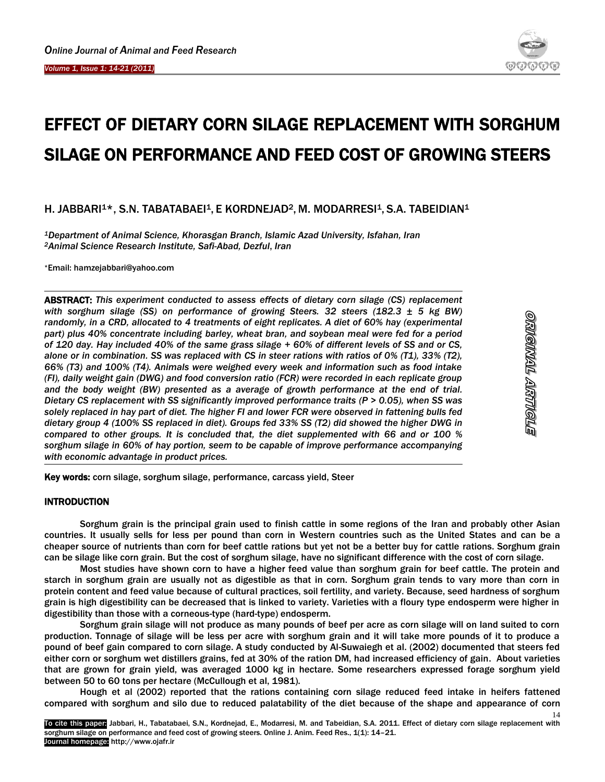Ï



<u>dianginyala Artholala</u>

14

# EFFECT OF DIETARY CORN SILAGE REPLACEMENT WITH SORGHUM SILAGE ON PERFORMANCE AND FEED COST OF GROWING STEERS

# H. JABBARI<sup>1\*</sup>, S.N. TABATABAEI<sup>1</sup>, E KORDNEJAD<sup>2</sup>, M. MODARRESI<sup>1</sup>, S.A. TABEIDIAN<sup>1</sup>

*<sup>1</sup>Department of Animal Science, Khorasgan Branch, Islamic Azad University, Isfahan, Iran <sup>2</sup>Animal Science Research Institute, Safi-Abad, Dezful*, *Iran*

\*Email: hamzejabbari@yahoo.com

ABSTRACT: *This experiment conducted to assess effects of dietary corn silage (CS) replacement with sorghum silage (SS) on performance of growing Steers. 32 steers (182.3 ± 5 kg BW) randomly, in a CRD, allocated to 4 treatments of eight replicates. A diet of 60% hay (experimental part) plus 40% concentrate including barley, wheat bran, and soybean meal were fed for a period of 120 day. Hay included 40% of the same grass silage + 60% of different levels of SS and or CS, alone or in combination. SS was replaced with CS in steer rations with ratios of 0% (T1), 33% (T2), 66% (T3) and 100% (T4). Animals were weighed every week and information such as food intake (FI), daily weight gain (DWG) and food conversion ratio (FCR) were recorded in each replicate group and the body weight (BW) presented as a average of growth performance at the end of trial. Dietary CS replacement with SS significantly improved performance traits (P > 0.05), when SS was solely replaced in hay part of diet. The higher FI and lower FCR were observed in fattening bulls fed dietary group 4 (100% SS replaced in diet). Groups fed 33% SS (T2) did showed the higher DWG in compared to other groups. It is concluded that, the diet supplemented with 66 and or 100 % sorghum silage in 60% of hay portion, seem to be capable of improve performance accompanying with economic advantage in product prices.*

Key words: corn silage, sorghum silage, performance, carcass yield, Steer

# **INTRODUCTION**

Sorghum grain is the principal grain used to finish cattle in some regions of the Iran and probably other Asian countries. It usually sells for less per pound than corn in Western countries such as the United States and can be a cheaper source of nutrients than corn for beef cattle rations but yet not be a better buy for cattle rations. Sorghum grain can be silage like corn grain. But the cost of sorghum silage, have no significant difference with the cost of corn silage.

Most studies have shown corn to have a higher feed value than sorghum grain for beef cattle. The protein and starch in sorghum grain are usually not as digestible as that in corn. Sorghum grain tends to vary more than corn in protein content and feed value because of cultural practices, soil fertility, and variety. Because, seed hardness of sorghum grain is high digestibility can be decreased that is linked to variety. Varieties with a floury type endosperm were higher in digestibility than those with a corneous-type (hard-type) endosperm.

Sorghum grain silage will not produce as many pounds of beef per acre as corn silage will on land suited to corn production. Tonnage of silage will be less per acre with sorghum grain and it will take more pounds of it to produce a pound of beef gain compared to corn silage. A study conducted by Al-Suwaiegh et al. (2002) documented that steers fed either corn or sorghum wet distillers grains, fed at 30% of the ration DM, had increased efficiency of gain. About varieties that are grown for grain yield, was averaged 1000 kg in hectare. Some researchers expressed forage sorghum yield between 50 to 60 tons per hectare (McCullough et al, 1981).

Hough et al (2002) reported that the rations containing corn silage reduced feed intake in heifers fattened compared with sorghum and silo due to reduced palatability of the diet because of the shape and appearance of corn

To cite this paper: Jabbari, H., Tabatabaei, S.N., Kordnejad, E., Modarresi, M. and Tabeidian, S.A. 2011. Effect of dietary corn silage replacement with sorghum silage on performance and feed cost of growing steers. Online J. Anim. Feed Res., 1(1): 14–21. Journal homepage: http://www.ojafr.ir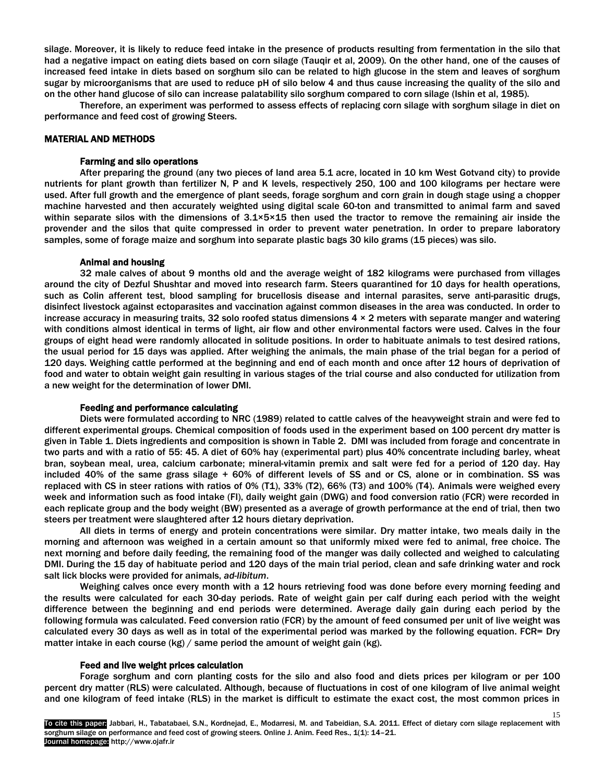silage. Moreover, it is likely to reduce feed intake in the presence of products resulting from fermentation in the silo that had a negative impact on eating diets based on corn silage (Tauqir et al, 2009). On the other hand, one of the causes of increased feed intake in diets based on sorghum silo can be related to high glucose in the stem and leaves of sorghum sugar by microorganisms that are used to reduce pH of silo below 4 and thus cause increasing the quality of the silo and on the other hand glucose of silo can increase palatability silo sorghum compared to corn silage (Ishin et al, 1985).

Therefore, an experiment was performed to assess effects of replacing corn silage with sorghum silage in diet on performance and feed cost of growing Steers.

## MATERIAL AND METHODS

#### Farming and silo operations

After preparing the ground (any two pieces of land area 5.1 acre, located in 10 km West Gotvand city) to provide nutrients for plant growth than fertilizer N, P and K levels, respectively 250, 100 and 100 kilograms per hectare were used. After full growth and the emergence of plant seeds, forage sorghum and corn grain in dough stage using a chopper machine harvested and then accurately weighted using digital scale 60-ton and transmitted to animal farm and saved within separate silos with the dimensions of  $3.1 \times 5 \times 15$  then used the tractor to remove the remaining air inside the provender and the silos that quite compressed in order to prevent water penetration. In order to prepare laboratory samples, some of forage maize and sorghum into separate plastic bags 30 kilo grams (15 pieces) was silo.

#### Animal and housing

32 male calves of about 9 months old and the average weight of 182 kilograms were purchased from villages around the city of Dezful Shushtar and moved into research farm. Steers quarantined for 10 days for health operations, such as Colin afferent test, blood sampling for brucellosis disease and internal parasites, serve anti-parasitic drugs, disinfect livestock against ectoparasites and vaccination against common diseases in the area was conducted. In order to increase accuracy in measuring traits, 32 solo roofed status dimensions  $4 \times 2$  meters with separate manger and watering with conditions almost identical in terms of light, air flow and other environmental factors were used. Calves in the four groups of eight head were randomly allocated in solitude positions. In order to habituate animals to test desired rations, the usual period for 15 days was applied. After weighing the animals, the main phase of the trial began for a period of 120 days. Weighing cattle performed at the beginning and end of each month and once after 12 hours of deprivation of food and water to obtain weight gain resulting in various stages of the trial course and also conducted for utilization from a new weight for the determination of lower DMI.

#### Feeding and performance calculating

Diets were formulated according to NRC (1989) related to cattle calves of the heavyweight strain and were fed to different experimental groups. Chemical composition of foods used in the experiment based on 100 percent dry matter is given in Table 1. Diets ingredients and composition is shown in Table 2. DMI was included from forage and concentrate in two parts and with a ratio of 55: 45. A diet of 60% hay (experimental part) plus 40% concentrate including barley, wheat bran, soybean meal, urea, calcium carbonate; mineral-vitamin premix and salt were fed for a period of 120 day. Hay included 40% of the same grass silage + 60% of different levels of SS and or CS, alone or in combination. SS was replaced with CS in steer rations with ratios of 0% (T1), 33% (T2), 66% (T3) and 100% (T4). Animals were weighed every week and information such as food intake (FI), daily weight gain (DWG) and food conversion ratio (FCR) were recorded in each replicate group and the body weight (BW) presented as a average of growth performance at the end of trial, then two steers per treatment were slaughtered after 12 hours dietary deprivation.

All diets in terms of energy and protein concentrations were similar. Dry matter intake, two meals daily in the morning and afternoon was weighed in a certain amount so that uniformly mixed were fed to animal, free choice. The next morning and before daily feeding, the remaining food of the manger was daily collected and weighed to calculating DMI. During the 15 day of habituate period and 120 days of the main trial period, clean and safe drinking water and rock salt lick blocks were provided for animals, *ad-libitum*.

Weighing calves once every month with a 12 hours retrieving food was done before every morning feeding and the results were calculated for each 30-day periods. Rate of weight gain per calf during each period with the weight difference between the beginning and end periods were determined. Average daily gain during each period by the following formula was calculated. Feed conversion ratio (FCR) by the amount of feed consumed per unit of live weight was calculated every 30 days as well as in total of the experimental period was marked by the following equation. FCR= Dry matter intake in each course (kg) / same period the amount of weight gain (kg).

#### Feed and live weight prices calculation

Forage sorghum and corn planting costs for the silo and also food and diets prices per kilogram or per 100 percent dry matter (RLS) were calculated. Although, because of fluctuations in cost of one kilogram of live animal weight and one kilogram of feed intake (RLS) in the market is difficult to estimate the exact cost, the most common prices in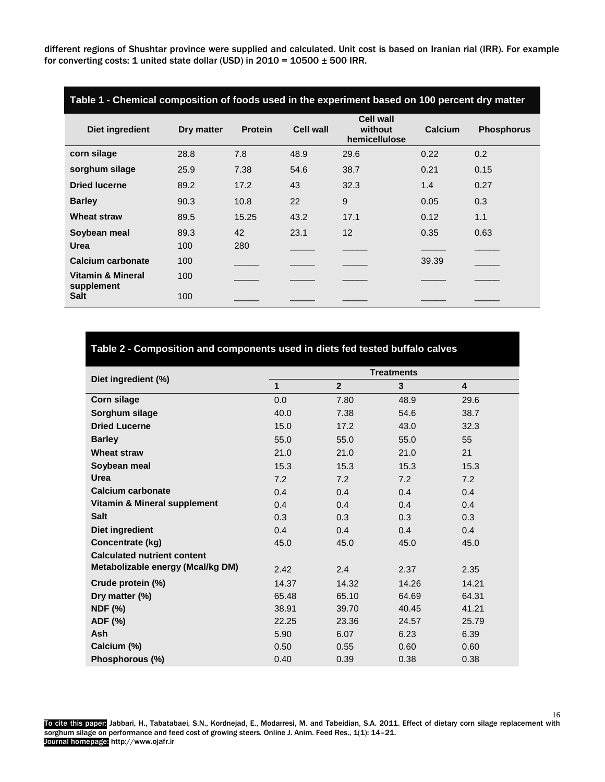different regions of Shushtar province were supplied and calculated. Unit cost is based on Iranian rial (IRR). For example for converting costs: 1 united state dollar (USD) in 2010 =  $10500 \pm 500$  IRR.

| Table 1 - Chemical composition of foods used in the experiment based on 100 percent dry matter |             |                |           |                                              |         |                   |
|------------------------------------------------------------------------------------------------|-------------|----------------|-----------|----------------------------------------------|---------|-------------------|
| Diet ingredient                                                                                | Dry matter  | <b>Protein</b> | Cell wall | <b>Cell wall</b><br>without<br>hemicellulose | Calcium | <b>Phosphorus</b> |
| corn silage                                                                                    | 28.8        | 7.8            | 48.9      | 29.6                                         | 0.22    | 0.2               |
| sorghum silage                                                                                 | 25.9        | 7.38           | 54.6      | 38.7                                         | 0.21    | 0.15              |
| <b>Dried lucerne</b>                                                                           | 89.2        | 17.2           | 43        | 32.3                                         | 1.4     | 0.27              |
| <b>Barley</b>                                                                                  | 90.3        | 10.8           | 22        | 9                                            | 0.05    | 0.3               |
| <b>Wheat straw</b>                                                                             | 89.5        | 15.25          | 43.2      | 17.1                                         | 0.12    | 1.1               |
| Soybean meal<br>Urea                                                                           | 89.3<br>100 | 42<br>280      | 23.1      | 12                                           | 0.35    | 0.63              |
| Calcium carbonate                                                                              | 100         |                |           |                                              | 39.39   |                   |
| <b>Vitamin &amp; Mineral</b><br>supplement<br><b>Salt</b>                                      | 100<br>100  |                |           |                                              |         |                   |
|                                                                                                |             |                |           |                                              |         |                   |

# **Table 2 - Composition and components used in diets fed tested buffalo calves**

|                                    | <b>Treatments</b> |                |       |       |  |
|------------------------------------|-------------------|----------------|-------|-------|--|
| Diet ingredient (%)                | $\mathbf 1$       | $\overline{2}$ | 3     | 4     |  |
| Corn silage                        | 0.0               | 7.80           | 48.9  | 29.6  |  |
| Sorghum silage                     | 40.0              | 7.38           | 54.6  | 38.7  |  |
| <b>Dried Lucerne</b>               | 15.0              | 17.2           | 43.0  | 32.3  |  |
| <b>Barley</b>                      | 55.0              | 55.0           | 55.0  | 55    |  |
| <b>Wheat straw</b>                 | 21.0              | 21.0           | 21.0  | 21    |  |
| Soybean meal                       | 15.3              | 15.3           | 15.3  | 15.3  |  |
| <b>Urea</b>                        | 7.2               | 7.2            | 7.2   | 7.2   |  |
| <b>Calcium carbonate</b>           | 0.4               | 0.4            | 0.4   | 0.4   |  |
| Vitamin & Mineral supplement       | 0.4               | 0.4            | 0.4   | 0.4   |  |
| <b>Salt</b>                        | 0.3               | 0.3            | 0.3   | 0.3   |  |
| Diet ingredient                    | 0.4               | 0.4            | 0.4   | 0.4   |  |
| Concentrate (kg)                   | 45.0              | 45.0           | 45.0  | 45.0  |  |
| <b>Calculated nutrient content</b> |                   |                |       |       |  |
| Metabolizable energy (Mcal/kg DM)  | 2.42              | 2.4            | 2.37  | 2.35  |  |
| Crude protein (%)                  | 14.37             | 14.32          | 14.26 | 14.21 |  |
| Dry matter (%)                     | 65.48             | 65.10          | 64.69 | 64.31 |  |
| <b>NDF (%)</b>                     | 38.91             | 39.70          | 40.45 | 41.21 |  |
| ADF (%)                            | 22.25             | 23.36          | 24.57 | 25.79 |  |
| <b>Ash</b>                         | 5.90              | 6.07           | 6.23  | 6.39  |  |
| Calcium (%)                        | 0.50              | 0.55           | 0.60  | 0.60  |  |
| Phosphorous (%)                    | 0.40              | 0.39           | 0.38  | 0.38  |  |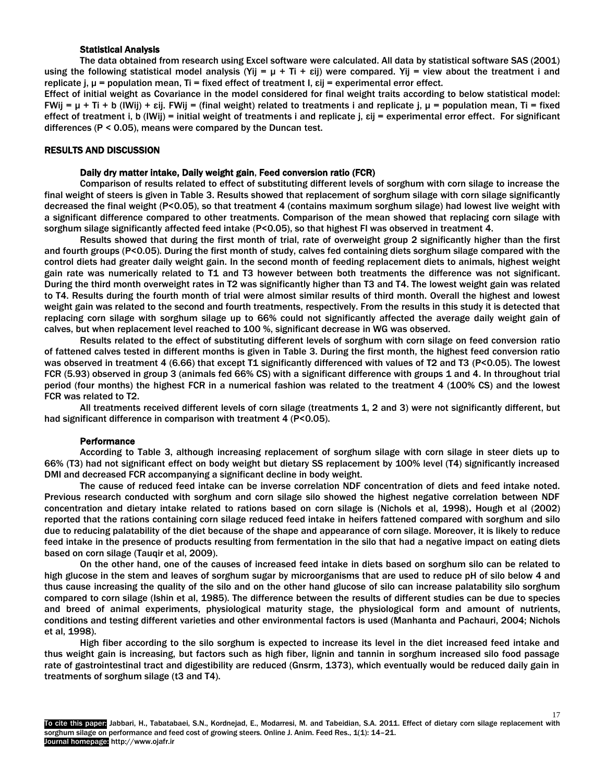## Statistical Analysis

The data obtained from research using Excel software were calculated. All data by statistical software SAS (2001) using the following statistical model analysis (Yij =  $\mu$  + Ti +  $\varepsilon$ ij) were compared. Yij = view about the treatment i and replicate j, μ = population mean, Ti = fixed effect of treatment I, εij = experimental error effect.

Effect of initial weight as Covariance in the model considered for final weight traits according to below statistical model: FWij = μ + Ti + b (IWij) + εij. FWij = (final weight) related to treatments i and replicate j, μ = population mean, Ti = fixed effect of treatment i, b (IWij) = initial weight of treatments i and replicate j, εij = experimental error effect. For significant differences (P < 0.05), means were compared by the Duncan test.

#### RESULTS AND DISCUSSION

#### Daily dry matter intake, Daily weight gain, Feed conversion ratio (FCR)

Comparison of results related to effect of substituting different levels of sorghum with corn silage to increase the final weight of steers is given in Table 3. Results showed that replacement of sorghum silage with corn silage significantly decreased the final weight (P<0.05), so that treatment 4 (contains maximum sorghum silage) had lowest live weight with a significant difference compared to other treatments. Comparison of the mean showed that replacing corn silage with sorghum silage significantly affected feed intake (P<0.05), so that highest FI was observed in treatment 4.

Results showed that during the first month of trial, rate of overweight group 2 significantly higher than the first and fourth groups (P<0.05). During the first month of study, calves fed containing diets sorghum silage compared with the control diets had greater daily weight gain. In the second month of feeding replacement diets to animals, highest weight gain rate was numerically related to T1 and T3 however between both treatments the difference was not significant. During the third month overweight rates in T2 was significantly higher than T3 and T4. The lowest weight gain was related to T4. Results during the fourth month of trial were almost similar results of third month. Overall the highest and lowest weight gain was related to the second and fourth treatments, respectively. From the results in this study it is detected that replacing corn silage with sorghum silage up to 66% could not significantly affected the average daily weight gain of calves, but when replacement level reached to 100 %, significant decrease in WG was observed.

Results related to the effect of substituting different levels of sorghum with corn silage on feed conversion ratio of fattened calves tested in different months is given in Table 3. During the first month, the highest feed conversion ratio was observed in treatment 4 (6.66) that except T1 significantly differenced with values of T2 and T3 (P<0.05). The lowest FCR (5.93) observed in group 3 (animals fed 66% CS) with a significant difference with groups 1 and 4. In throughout trial period (four months) the highest FCR in a numerical fashion was related to the treatment 4 (100% CS) and the lowest FCR was related to T2.

All treatments received different levels of corn silage (treatments 1, 2 and 3) were not significantly different, but had significant difference in comparison with treatment 4 (P<0.05).

#### **Performance**

According to Table 3, although increasing replacement of sorghum silage with corn silage in steer diets up to 66% (T3) had not significant effect on body weight but dietary SS replacement by 100% level (T4) significantly increased DMI and decreased FCR accompanying a significant decline in body weight.

The cause of reduced feed intake can be inverse correlation NDF concentration of diets and feed intake noted. Previous research conducted with sorghum and corn silage silo showed the highest negative correlation between NDF concentration and dietary intake related to rations based on corn silage is (Nichols et al, 1998). Hough et al (2002) reported that the rations containing corn silage reduced feed intake in heifers fattened compared with sorghum and silo due to reducing palatability of the diet because of the shape and appearance of corn silage. Moreover, it is likely to reduce feed intake in the presence of products resulting from fermentation in the silo that had a negative impact on eating diets based on corn silage (Tauqir et al, 2009).

On the other hand, one of the causes of increased feed intake in diets based on sorghum silo can be related to high glucose in the stem and leaves of sorghum sugar by microorganisms that are used to reduce pH of silo below 4 and thus cause increasing the quality of the silo and on the other hand glucose of silo can increase palatability silo sorghum compared to corn silage (Ishin et al, 1985). The difference between the results of different studies can be due to species and breed of animal experiments, physiological maturity stage, the physiological form and amount of nutrients, conditions and testing different varieties and other environmental factors is used (Manhanta and Pachauri, 2004; Nichols et al, 1998).

High fiber according to the silo sorghum is expected to increase its level in the diet increased feed intake and thus weight gain is increasing, but factors such as high fiber, lignin and tannin in sorghum increased silo food passage rate of gastrointestinal tract and digestibility are reduced (Gnsrm, 1373), which eventually would be reduced daily gain in treatments of sorghum silage (t3 and T4).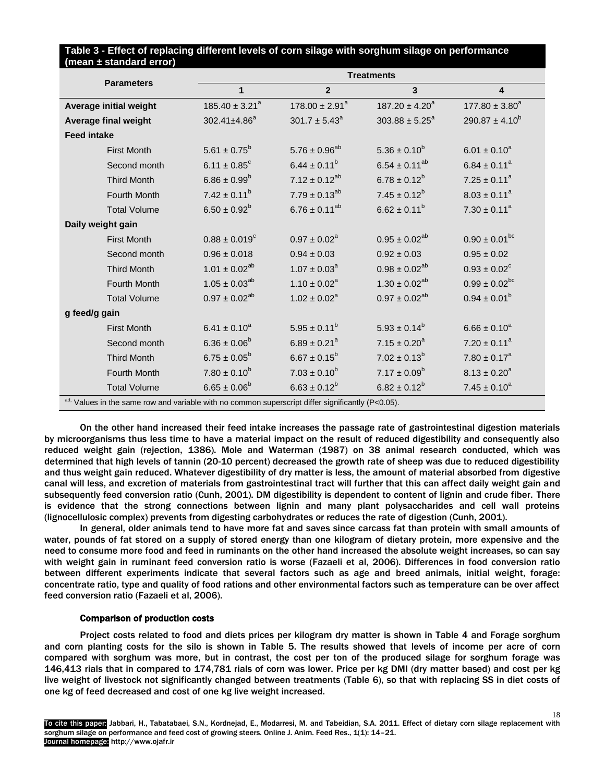# **Table 3 - Effect of replacing different levels of corn silage with sorghum silage on performance (mean ± standard error)**

|                                                                                                   | <b>Treatments</b>            |                      |                      |                              |  |  |
|---------------------------------------------------------------------------------------------------|------------------------------|----------------------|----------------------|------------------------------|--|--|
| <b>Parameters</b>                                                                                 | $\mathbf{1}$                 | $\overline{2}$       | $\mathbf{3}$         | $\overline{\mathbf{4}}$      |  |  |
| Average initial weight                                                                            | $185.40 \pm 3.21^a$          | $178.00 \pm 2.91^a$  | $187.20 \pm 4.20^a$  | $177.80 \pm 3.80^a$          |  |  |
| Average final weight                                                                              | 302.41±4.86 <sup>a</sup>     | $301.7 \pm 5.43^a$   | $303.88 \pm 5.25^a$  | $290.87 \pm 4.10^b$          |  |  |
| <b>Feed intake</b>                                                                                |                              |                      |                      |                              |  |  |
| <b>First Month</b>                                                                                | $5.61 \pm 0.75^b$            | $5.76 \pm 0.96^{ab}$ | $5.36 \pm 0.10^b$    | $6.01 \pm 0.10^a$            |  |  |
| Second month                                                                                      | $6.11 \pm 0.85$ <sup>c</sup> | $6.44 \pm 0.11^b$    | $6.54 \pm 0.11^{ab}$ | $6.84 \pm 0.11^a$            |  |  |
| <b>Third Month</b>                                                                                | $6.86 \pm 0.99^b$            | $7.12 \pm 0.12^{ab}$ | $6.78 \pm 0.12^b$    | $7.25 \pm 0.11^a$            |  |  |
| Fourth Month                                                                                      | $7.42 \pm 0.11^b$            | $7.79 \pm 0.13^{ab}$ | $7.45 \pm 0.12^b$    | $8.03 \pm 0.11^a$            |  |  |
| <b>Total Volume</b>                                                                               | $6.50 \pm 0.92^b$            | $6.76 \pm 0.11^{ab}$ | $6.62 \pm 0.11^b$    | $7.30 \pm 0.11^a$            |  |  |
| Daily weight gain                                                                                 |                              |                      |                      |                              |  |  |
| <b>First Month</b>                                                                                | $0.88 \pm 0.019^c$           | $0.97 \pm 0.02^a$    | $0.95 \pm 0.02^{ab}$ | $0.90 \pm 0.01^{bc}$         |  |  |
| Second month                                                                                      | $0.96 \pm 0.018$             | $0.94 \pm 0.03$      | $0.92 \pm 0.03$      | $0.95 \pm 0.02$              |  |  |
| <b>Third Month</b>                                                                                | $1.01 \pm 0.02^{ab}$         | $1.07 \pm 0.03^a$    | $0.98 \pm 0.02^{ab}$ | $0.93 \pm 0.02$ <sup>c</sup> |  |  |
| Fourth Month                                                                                      | $1.05 \pm 0.03^{ab}$         | $1.10 \pm 0.02^a$    | $1.30 \pm 0.02^{ab}$ | $0.99 \pm 0.02^{bc}$         |  |  |
| <b>Total Volume</b>                                                                               | $0.97 \pm 0.02^{ab}$         | $1.02 \pm 0.02^a$    | $0.97 \pm 0.02^{ab}$ | $0.94 \pm 0.01^b$            |  |  |
| g feed/g gain                                                                                     |                              |                      |                      |                              |  |  |
| <b>First Month</b>                                                                                | $6.41 \pm 0.10^a$            | $5.95 \pm 0.11^b$    | $5.93 \pm 0.14^b$    | $6.66 \pm 0.10^a$            |  |  |
| Second month                                                                                      | $6.36 \pm 0.06^b$            | $6.89 \pm 0.21^a$    | $7.15 \pm 0.20^a$    | $7.20 \pm 0.11^a$            |  |  |
| <b>Third Month</b>                                                                                | $6.75 \pm 0.05^b$            | $6.67 \pm 0.15^b$    | $7.02 \pm 0.13^b$    | $7.80 \pm 0.17^a$            |  |  |
| Fourth Month                                                                                      | $7.80 \pm 0.10^b$            | $7.03 \pm 0.10^b$    | $7.17 \pm 0.09^b$    | $8.13 \pm 0.20^a$            |  |  |
| <b>Total Volume</b>                                                                               | $6.65 \pm 0.06^b$            | $6.63 \pm 0.12^b$    | $6.82 \pm 0.12^b$    | $7.45 \pm 0.10^a$            |  |  |
| ad. Values in the same row and variable with no common superscript differ significantly (P<0.05). |                              |                      |                      |                              |  |  |

On the other hand increased their feed intake increases the passage rate of gastrointestinal digestion materials by microorganisms thus less time to have a material impact on the result of reduced digestibility and consequently also reduced weight gain (rejection, 1386). Mole and Waterman (1987) on 38 animal research conducted, which was determined that high levels of tannin (20-10 percent) decreased the growth rate of sheep was due to reduced digestibility and thus weight gain reduced. Whatever digestibility of dry matter is less, the amount of material absorbed from digestive canal will less, and excretion of materials from gastrointestinal tract will further that this can affect daily weight gain and subsequently feed conversion ratio (Cunh, 2001). DM digestibility is dependent to content of lignin and crude fiber. There is evidence that the strong connections between lignin and many plant polysaccharides and cell wall proteins (lignocellulosic complex) prevents from digesting carbohydrates or reduces the rate of digestion (Cunh, 2001).

In general, older animals tend to have more fat and saves since carcass fat than protein with small amounts of water, pounds of fat stored on a supply of stored energy than one kilogram of dietary protein, more expensive and the need to consume more food and feed in ruminants on the other hand increased the absolute weight increases, so can say with weight gain in ruminant feed conversion ratio is worse (Fazaeli et al, 2006). Differences in food conversion ratio between different experiments indicate that several factors such as age and breed animals, initial weight, forage: concentrate ratio, type and quality of food rations and other environmental factors such as temperature can be over affect feed conversion ratio (Fazaeli et al, 2006).

# Comparison of production costs

 Project costs related to food and diets prices per kilogram dry matter is shown in Table 4 and Forage sorghum and corn planting costs for the silo is shown in Table 5. The results showed that levels of income per acre of corn compared with sorghum was more, but in contrast, the cost per ton of the produced silage for sorghum forage was 146,413 rials that in compared to 174,781 rials of corn was lower. Price per kg DMI (dry matter based) and cost per kg live weight of livestock not significantly changed between treatments (Table 6), so that with replacing SS in diet costs of one kg of feed decreased and cost of one kg live weight increased.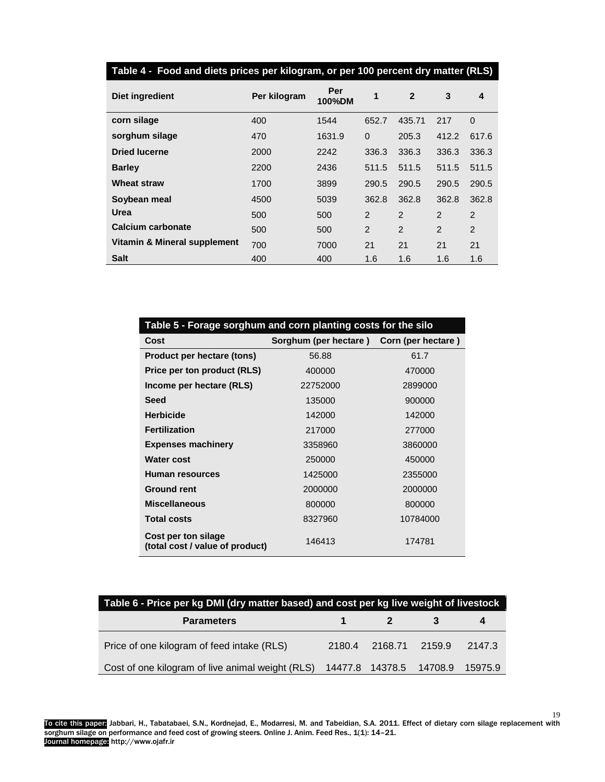| Table 4 - Food and diets prices per kilogram, or per 100 percent dry matter (RLS) |              |               |               |                |                |             |
|-----------------------------------------------------------------------------------|--------------|---------------|---------------|----------------|----------------|-------------|
| Diet ingredient                                                                   | Per kilogram | Per<br>100%DM | 1             | $\mathbf{2}$   | 3              | 4           |
| corn silage                                                                       | 400          | 1544          | 652.7         | 435.71         | 217            | $\mathbf 0$ |
| sorghum silage                                                                    | 470          | 1631.9        | $\Omega$      | 205.3          | 412.2          | 617.6       |
| <b>Dried lucerne</b>                                                              | 2000         | 2242          | 336.3         | 336.3          | 336.3          | 336.3       |
| <b>Barley</b>                                                                     | 2200         | 2436          | 511.5         | 511.5          | 511.5          | 511.5       |
| <b>Wheat straw</b>                                                                | 1700         | 3899          | 290.5         | 290.5          | 290.5          | 290.5       |
| Soybean meal                                                                      | 4500         | 5039          | 362.8         | 362.8          | 362.8          | 362.8       |
| Urea                                                                              | 500          | 500           | $\mathcal{P}$ | $\mathcal{P}$  | $\mathfrak{p}$ | 2           |
| Calcium carbonate                                                                 | 500          | 500           | 2             | $\overline{2}$ | $\overline{2}$ | 2           |
| Vitamin & Mineral supplement                                                      | 700          | 7000          | 21            | 21             | 21             | 21          |
| <b>Salt</b>                                                                       | 400          | 400           | 1.6           | 1.6            | 1.6            | 1.6         |

| Table 5 - Forage sorghum and corn planting costs for the silo |                                          |          |  |  |  |
|---------------------------------------------------------------|------------------------------------------|----------|--|--|--|
| Cost                                                          | Sorghum (per hectare) Corn (per hectare) |          |  |  |  |
| Product per hectare (tons)                                    | 56.88                                    | 61.7     |  |  |  |
| Price per ton product (RLS)                                   | 400000                                   | 470000   |  |  |  |
| Income per hectare (RLS)                                      | 22752000                                 | 2899000  |  |  |  |
| <b>Seed</b>                                                   | 135000                                   | 900000   |  |  |  |
| <b>Herbicide</b>                                              | 142000                                   | 142000   |  |  |  |
| <b>Fertilization</b>                                          | 217000                                   | 277000   |  |  |  |
| <b>Expenses machinery</b>                                     | 3358960                                  | 3860000  |  |  |  |
| <b>Water cost</b>                                             | 250000                                   | 450000   |  |  |  |
| Human resources                                               | 1425000                                  | 2355000  |  |  |  |
| <b>Ground rent</b>                                            | 2000000                                  | 2000000  |  |  |  |
| <b>Miscellaneous</b>                                          | 800000                                   | 800000   |  |  |  |
| <b>Total costs</b>                                            | 8327960                                  | 10784000 |  |  |  |
| Cost per ton silage<br>(total cost / value of product)        | 146413                                   | 174781   |  |  |  |

| Table 6 - Price per kg DMI (dry matter based) and cost per kg live weight of livestock |  |                         |                              |  |  |  |
|----------------------------------------------------------------------------------------|--|-------------------------|------------------------------|--|--|--|
| <b>Parameters</b>                                                                      |  | $\mathbf 1$ $\mathbf 2$ |                              |  |  |  |
| Price of one kilogram of feed intake (RLS)                                             |  |                         | 2180.4 2168.71 2159.9 2147.3 |  |  |  |
| Cost of one kilogram of live animal weight (RLS) 14477.8 14378.5 14708.9 15975.9       |  |                         |                              |  |  |  |

To cite this paper: Jabbari, H., Tabatabaei, S.N., Kordnejad, E., Modarresi, M. and Tabeidian, S.A. 2011. Effect of dietary corn silage replacement with sorghum silage on performance and feed cost of growing steers. Online J. Anim. Feed Res., 1(1): 14–21. Journal homepage: http://www.ojafr.ir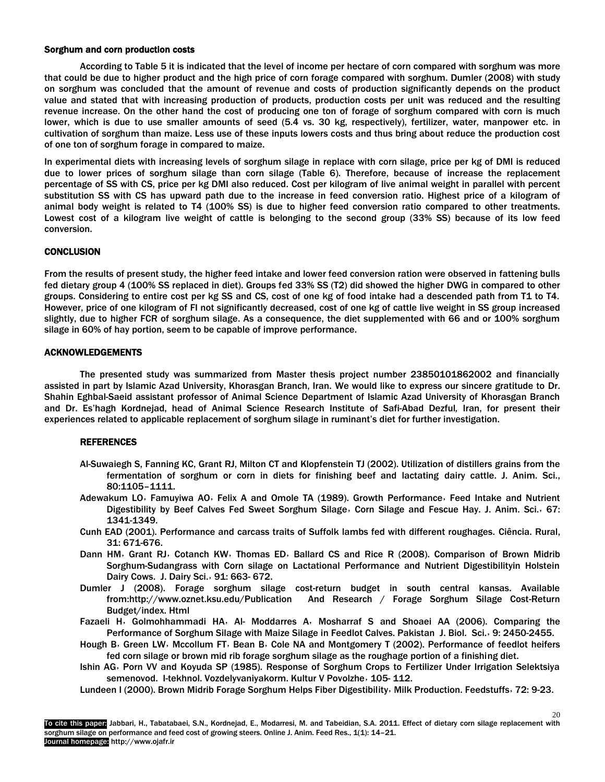## Sorghum and corn production costs

According to Table 5 it is indicated that the level of income per hectare of corn compared with sorghum was more that could be due to higher product and the high price of corn forage compared with sorghum. Dumler (2008) with study on sorghum was concluded that the amount of revenue and costs of production significantly depends on the product value and stated that with increasing production of products, production costs per unit was reduced and the resulting revenue increase. On the other hand the cost of producing one ton of forage of sorghum compared with corn is much lower, which is due to use smaller amounts of seed (5.4 vs. 30 kg, respectively), fertilizer, water, manpower etc. in cultivation of sorghum than maize. Less use of these inputs lowers costs and thus bring about reduce the production cost of one ton of sorghum forage in compared to maize.

In experimental diets with increasing levels of sorghum silage in replace with corn silage, price per kg of DMI is reduced due to lower prices of sorghum silage than corn silage (Table 6). Therefore, because of increase the replacement percentage of SS with CS, price per kg DMI also reduced. Cost per kilogram of live animal weight in parallel with percent substitution SS with CS has upward path due to the increase in feed conversion ratio. Highest price of a kilogram of animal body weight is related to T4 (100% SS) is due to higher feed conversion ratio compared to other treatments. Lowest cost of a kilogram live weight of cattle is belonging to the second group (33% SS) because of its low feed conversion.

# **CONCLUSION**

From the results of present study, the higher feed intake and lower feed conversion ration were observed in fattening bulls fed dietary group 4 (100% SS replaced in diet). Groups fed 33% SS (T2) did showed the higher DWG in compared to other groups. Considering to entire cost per kg SS and CS, cost of one kg of food intake had a descended path from T1 to T4. However, price of one kilogram of FI not significantly decreased, cost of one kg of cattle live weight in SS group increased slightly, due to higher FCR of sorghum silage. As a consequence, the diet supplemented with 66 and or 100% sorghum silage in 60% of hay portion, seem to be capable of improve performance.

# ACKNOWLEDGEMENTS

The presented study was summarized from Master thesis project number 23850101862002 and financially assisted in part by Islamic Azad University, Khorasgan Branch, Iran. We would like to express our sincere gratitude to Dr. Shahin Eghbal-Saeid assistant professor of Animal Science Department of Islamic Azad University of Khorasgan Branch and Dr. Es'hagh Kordnejad, head of Animal Science Research Institute of Safi-Abad Dezful*,* Iran, for present their experiences related to applicable replacement of sorghum silage in ruminant's diet for further investigation.

# **REFERENCES**

- Al-Suwaiegh S, Fanning KC, Grant RJ, Milton CT and Klopfenstein TJ (2002). Utilization of distillers grains from the fermentation of sorghum or corn in diets for finishing beef and lactating dairy cattle. J. Anim. Sci., 80:1105–1111.
- Adewakum LO, Famuyiwa AO, Felix A and Omole TA (1989). Growth Performance, Feed Intake and Nutrient Digestibility by Beef Calves Fed Sweet Sorghum Silage, Corn Silage and Fescue Hay. J. Anim. Sci., 67: 1341-1349.
- Cunh EAD (2001). Performance and carcass traits of Suffolk lambs fed with different roughages. Ciência. Rural, 31: 671-676.
- Dann HM, Grant RJ, Cotanch KW, Thomas ED, Ballard CS and Rice R (2008). Comparison of Brown Midrib Sorghum-Sudangrass with Corn silage on Lactational Performance and Nutrient Digestibilityin Holstein Dairy Cows. J. Dairy Sci.٫ 91: 663- 672.
- Dumler J (2008). Forage sorghum silage cost-return budget in south central kansas. Available from:http:/[/www.oznet.ksu.edu/Publication](http://www.oznet.ksu.edu/Publication) And Research / Forage Sorghum Silage Cost-Return Budget/index. Html
- Fazaeli H٫ Golmohhammadi HA٫ Al- Moddarres A٫ Mosharraf S and Shoaei AA (2006). Comparing the Performance of Sorghum Silage with Maize Silage in Feedlot Calves. Pakistan J. Biol. Sci.٫ 9: 2450-2455.
- Hough B, Green LW, Mccollum FT, Bean B, Cole NA and Montgomery T (2002). Performance of feedlot heifers fed corn silage or brown mid rib forage sorghum silage as the roughage portion of a finishing diet.
- Ishin AG٫ Porn VV and Koyuda SP (1985). Response of Sorghum Crops to Fertilizer Under Irrigation Selektsiya semenovod. I-tekhnol. Vozdelyvaniyakorm. Kultur V Povolzhe, 105-112.

20

Lundeen I (2000). Brown Midrib Forage Sorghum Helps Fiber Digestibility, Milk Production. Feedstuffs, 72: 9-23.